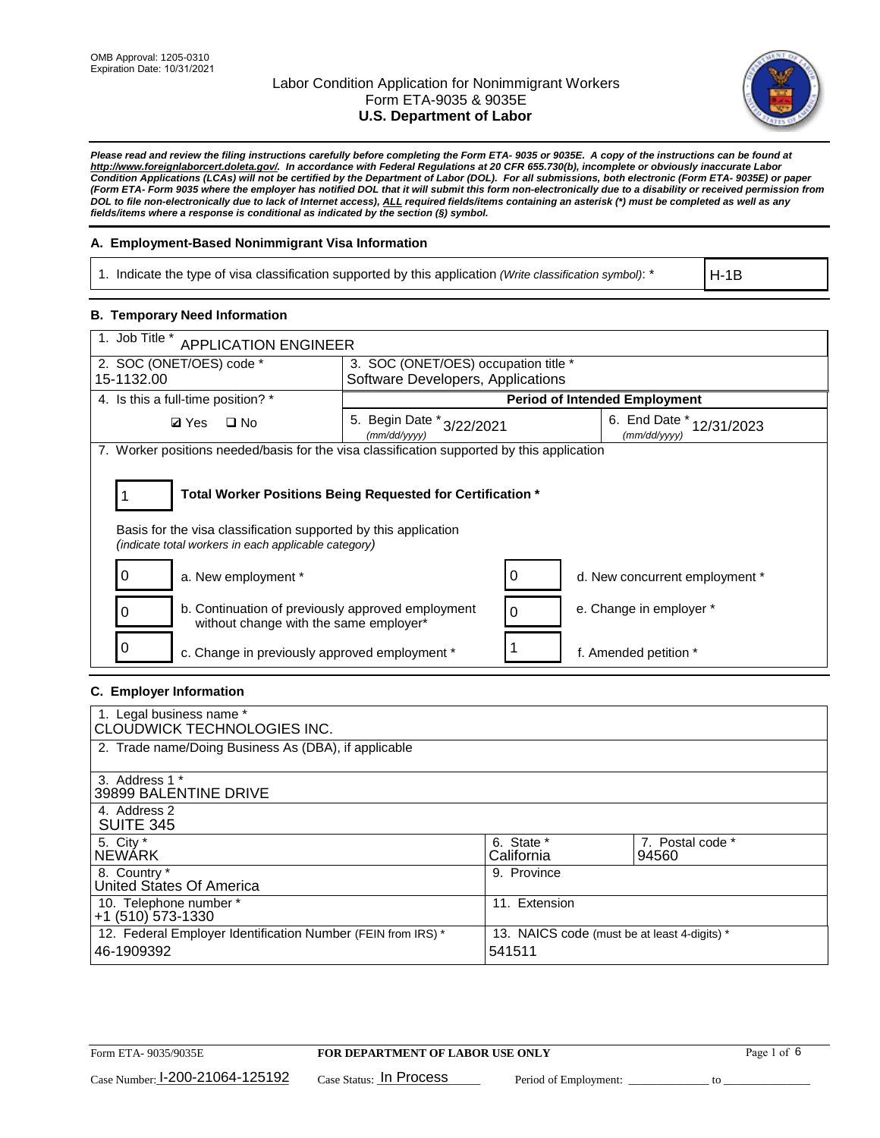

*Please read and review the filing instructions carefully before completing the Form ETA- 9035 or 9035E. A copy of the instructions can be found at [http://www.foreignlaborcert.doleta.gov/.](http://www.foreignlaborcert.doleta.gov/) In accordance with Federal Regulations at 20 CFR 655.730(b), incomplete or obviously inaccurate Labor Condition Applications (LCAs) will not be certified by the Department of Labor (DOL). For all submissions, both electronic (Form ETA- 9035E) or paper (Form ETA- Form 9035 where the employer has notified DOL that it will submit this form non-electronically due to a disability or received permission from DOL to file non-electronically due to lack of Internet access), ALL required fields/items containing an asterisk (\*) must be completed as well as any fields/items where a response is conditional as indicated by the section (§) symbol.* 

### **A. Employment-Based Nonimmigrant Visa Information**

1. Indicate the type of visa classification supported by this application *(Write classification symbol)*: \*

H-1B

### **B. Temporary Need Information**

| 1. Job Title *<br><b>APPLICATION ENGINEER</b>                                                                                                                                         |                                              |   |                                          |  |
|---------------------------------------------------------------------------------------------------------------------------------------------------------------------------------------|----------------------------------------------|---|------------------------------------------|--|
| 2. SOC (ONET/OES) code *                                                                                                                                                              | 3. SOC (ONET/OES) occupation title *         |   |                                          |  |
| 15-1132.00                                                                                                                                                                            | Software Developers, Applications            |   |                                          |  |
| 4. Is this a full-time position? *                                                                                                                                                    |                                              |   | <b>Period of Intended Employment</b>     |  |
| <b>Ø</b> Yes<br>$\Box$ No                                                                                                                                                             | 5. Begin Date *<br>3/22/2021<br>(mm/dd/yyyy) |   | 6. End Date * 12/31/2023<br>(mm/dd/yyyy) |  |
| 7. Worker positions needed/basis for the visa classification supported by this application                                                                                            |                                              |   |                                          |  |
| Total Worker Positions Being Requested for Certification *<br>Basis for the visa classification supported by this application<br>(indicate total workers in each applicable category) |                                              |   |                                          |  |
| 0<br>a. New employment *                                                                                                                                                              |                                              | 0 | d. New concurrent employment *           |  |
| b. Continuation of previously approved employment<br>without change with the same employer*                                                                                           |                                              | 0 | e. Change in employer *                  |  |
| c. Change in previously approved employment *                                                                                                                                         |                                              |   | f. Amended petition *                    |  |

### **C. Employer Information**

| 1. Legal business name *                                     |                                              |                  |
|--------------------------------------------------------------|----------------------------------------------|------------------|
| CLOUDWICK TECHNOLOGIES INC.                                  |                                              |                  |
| 2. Trade name/Doing Business As (DBA), if applicable         |                                              |                  |
|                                                              |                                              |                  |
| 3. Address 1 *                                               |                                              |                  |
| 39899 BALENTINE DRIVE                                        |                                              |                  |
| 4. Address 2                                                 |                                              |                  |
| <b>SUITE 345</b>                                             |                                              |                  |
| 5. City *                                                    | 6. State *                                   | 7. Postal code * |
| <b>NEWARK</b>                                                | California                                   | 94560            |
| 8. Country *                                                 | 9. Province                                  |                  |
| United States Of America                                     |                                              |                  |
| 10. Telephone number *                                       | 11. Extension                                |                  |
| $+1$ (510) 573-1330                                          |                                              |                  |
| 12. Federal Employer Identification Number (FEIN from IRS) * | 13. NAICS code (must be at least 4-digits) * |                  |
| 46-1909392                                                   | 541511                                       |                  |
|                                                              |                                              |                  |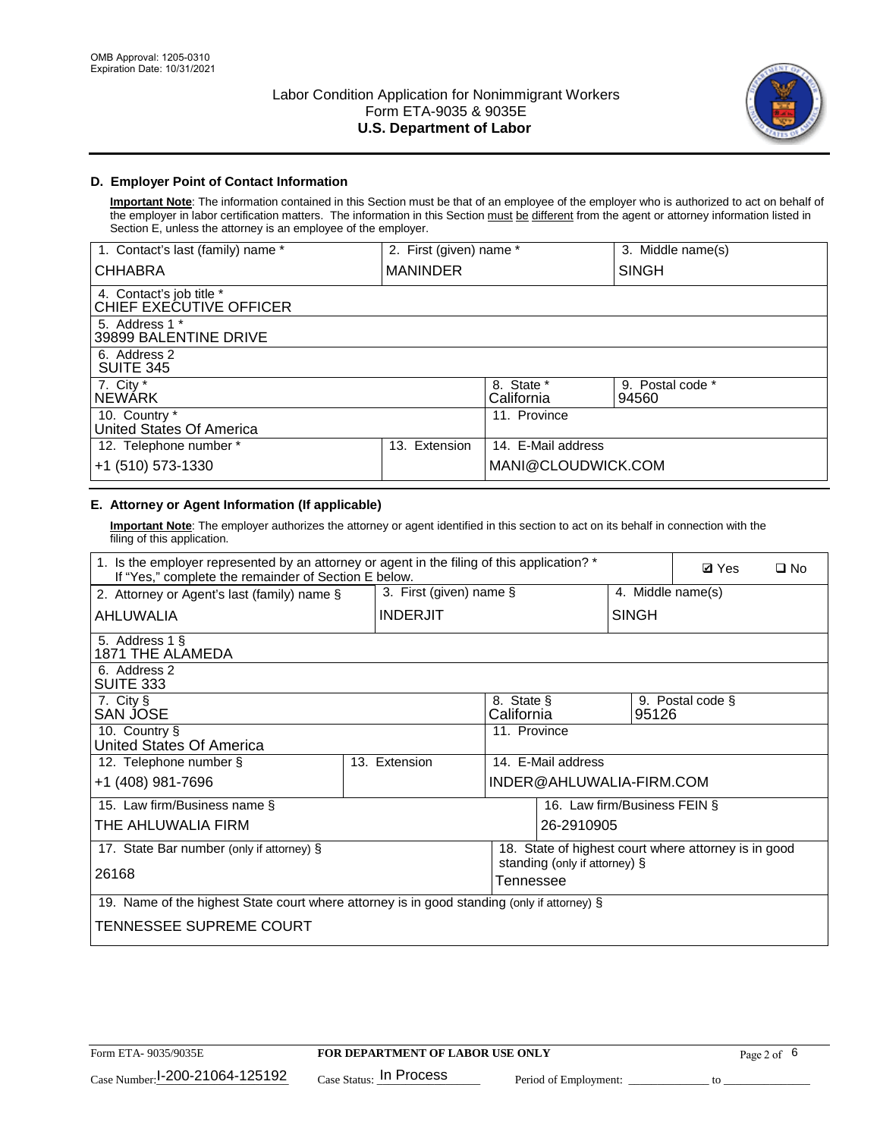

## **D. Employer Point of Contact Information**

**Important Note**: The information contained in this Section must be that of an employee of the employer who is authorized to act on behalf of the employer in labor certification matters. The information in this Section must be different from the agent or attorney information listed in Section E, unless the attorney is an employee of the employer.

| 1. Contact's last (family) name *                   | 2. First (given) name * |                          | 3. Middle name(s)         |
|-----------------------------------------------------|-------------------------|--------------------------|---------------------------|
| <b>CHHABRA</b>                                      | <b>MANINDER</b>         |                          | <b>SINGH</b>              |
| 4. Contact's job title *<br>CHIEF EXECUTIVE OFFICER |                         |                          |                           |
| 5. Address 1 *<br>39899 BALENTINE DRIVE             |                         |                          |                           |
| 6. Address 2<br><b>SUITE 345</b>                    |                         |                          |                           |
| 7. City *<br><b>NEWÁRK</b>                          |                         | 8. State *<br>California | 9. Postal code *<br>94560 |
| 10. Country *<br>United States Of America           |                         | 11. Province             |                           |
| 12. Telephone number *                              | Extension<br>13.        | 14. E-Mail address       |                           |
| +1 (510) 573-1330                                   |                         | MANI@CLOUDWICK.COM       |                           |

## **E. Attorney or Agent Information (If applicable)**

**Important Note**: The employer authorizes the attorney or agent identified in this section to act on its behalf in connection with the filing of this application.

| 1. Is the employer represented by an attorney or agent in the filing of this application? *<br>If "Yes," complete the remainder of Section E below. |                         |                          |                                                      |                   | <b>Ø</b> Yes     | $\Box$ No |
|-----------------------------------------------------------------------------------------------------------------------------------------------------|-------------------------|--------------------------|------------------------------------------------------|-------------------|------------------|-----------|
| 2. Attorney or Agent's last (family) name §                                                                                                         | 3. First (given) name § |                          |                                                      | 4. Middle name(s) |                  |           |
| AHLUWALIA                                                                                                                                           | <b>INDERJIT</b>         |                          |                                                      | <b>SINGH</b>      |                  |           |
| 5. Address 1 §<br>1871 THE ALAMEDA                                                                                                                  |                         |                          |                                                      |                   |                  |           |
| 6. Address 2<br><b>SUITE 333</b>                                                                                                                    |                         |                          |                                                      |                   |                  |           |
| 7. City §<br>SAN JOSE                                                                                                                               |                         | 8. State §<br>California |                                                      | 95126             | 9. Postal code § |           |
| 10. Country §<br>United States Of America                                                                                                           |                         | 11. Province             |                                                      |                   |                  |           |
| 12. Telephone number §                                                                                                                              | 13. Extension           |                          | 14. E-Mail address                                   |                   |                  |           |
| +1 (408) 981-7696                                                                                                                                   |                         |                          | INDER@AHLUWALIA-FIRM.COM                             |                   |                  |           |
| 15. Law firm/Business name §                                                                                                                        |                         |                          | 16. Law firm/Business FEIN §                         |                   |                  |           |
| THE AHLUWALIA FIRM                                                                                                                                  |                         |                          | 26-2910905                                           |                   |                  |           |
| 17. State Bar number (only if attorney) §                                                                                                           |                         |                          | 18. State of highest court where attorney is in good |                   |                  |           |
| 26168                                                                                                                                               |                         | Tennessee                | standing (only if attorney) §                        |                   |                  |           |
| 19. Name of the highest State court where attorney is in good standing (only if attorney) §                                                         |                         |                          |                                                      |                   |                  |           |
| TENNESSEE SUPREME COURT                                                                                                                             |                         |                          |                                                      |                   |                  |           |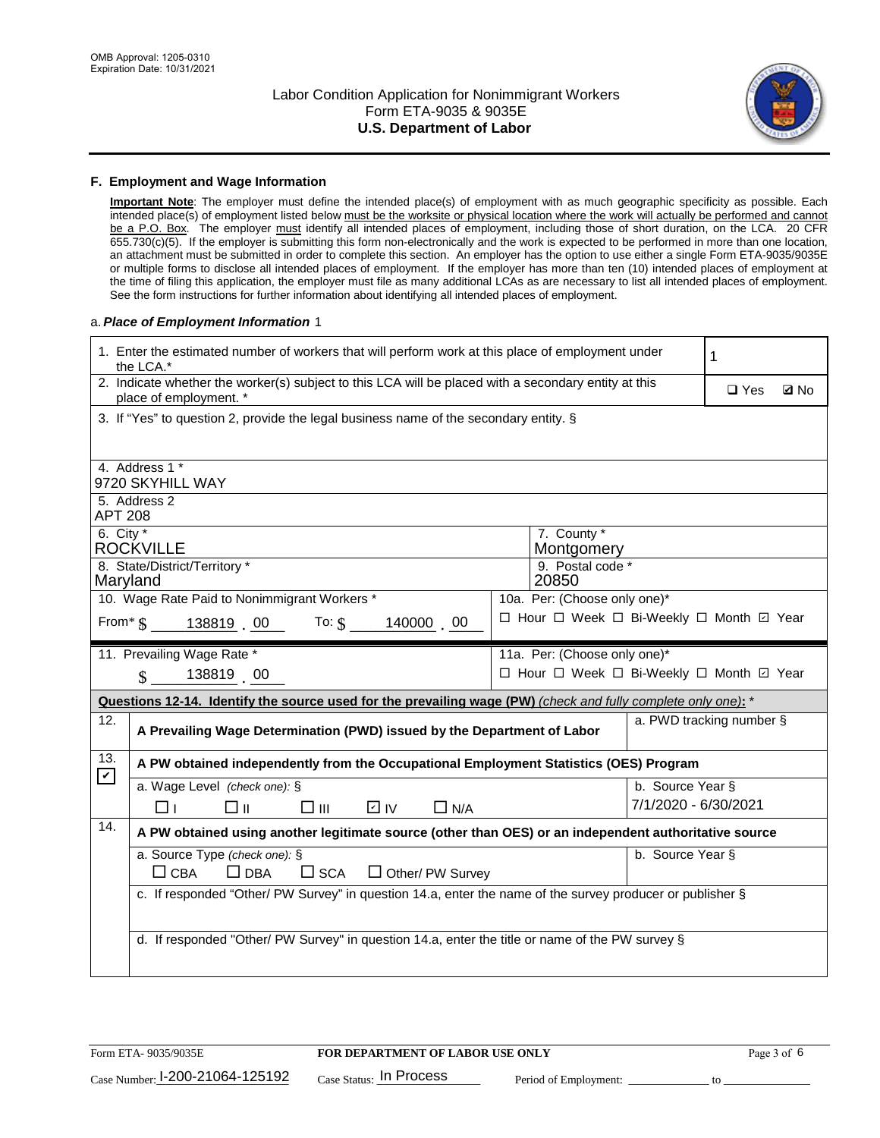

#### **F. Employment and Wage Information**

**Important Note**: The employer must define the intended place(s) of employment with as much geographic specificity as possible. Each intended place(s) of employment listed below must be the worksite or physical location where the work will actually be performed and cannot be a P.O. Box. The employer must identify all intended places of employment, including those of short duration, on the LCA. 20 CFR 655.730(c)(5). If the employer is submitting this form non-electronically and the work is expected to be performed in more than one location, an attachment must be submitted in order to complete this section. An employer has the option to use either a single Form ETA-9035/9035E or multiple forms to disclose all intended places of employment. If the employer has more than ten (10) intended places of employment at the time of filing this application, the employer must file as many additional LCAs as are necessary to list all intended places of employment. See the form instructions for further information about identifying all intended places of employment.

#### a.*Place of Employment Information* 1

|                                                                        | 1. Enter the estimated number of workers that will perform work at this place of employment under<br>the LCA.*                 |  |                                          |                          | 1          |             |
|------------------------------------------------------------------------|--------------------------------------------------------------------------------------------------------------------------------|--|------------------------------------------|--------------------------|------------|-------------|
|                                                                        | 2. Indicate whether the worker(s) subject to this LCA will be placed with a secondary entity at this<br>place of employment. * |  |                                          |                          | $\Box$ Yes | <b>Z</b> No |
|                                                                        | 3. If "Yes" to question 2, provide the legal business name of the secondary entity. §                                          |  |                                          |                          |            |             |
|                                                                        | 4. Address 1 *                                                                                                                 |  |                                          |                          |            |             |
|                                                                        | 9720 SKYHILL WAY                                                                                                               |  |                                          |                          |            |             |
| <b>APT 208</b>                                                         | 5. Address 2                                                                                                                   |  |                                          |                          |            |             |
| $6.$ City $*$                                                          | <b>ROCKVILLE</b>                                                                                                               |  | 7. County *<br>Montgomery                |                          |            |             |
|                                                                        | 8. State/District/Territory *                                                                                                  |  | 9. Postal code *                         |                          |            |             |
| Maryland                                                               | 10. Wage Rate Paid to Nonimmigrant Workers *                                                                                   |  | 20850<br>10a. Per: (Choose only one)*    |                          |            |             |
|                                                                        | From $\frac{1}{5}$ 138819 00 To: $\frac{1}{5}$<br>140000 00                                                                    |  | □ Hour □ Week □ Bi-Weekly □ Month ☑ Year |                          |            |             |
|                                                                        | 11. Prevailing Wage Rate *                                                                                                     |  | 11a. Per: (Choose only one)*             |                          |            |             |
| 138819 00<br>□ Hour □ Week □ Bi-Weekly □ Month 回 Year<br>$\mathbf{\$}$ |                                                                                                                                |  |                                          |                          |            |             |
|                                                                        | Questions 12-14. Identify the source used for the prevailing wage (PW) (check and fully complete only one): *                  |  |                                          |                          |            |             |
| 12.                                                                    | A Prevailing Wage Determination (PWD) issued by the Department of Labor                                                        |  |                                          | a. PWD tracking number § |            |             |
| 13.                                                                    | A PW obtained independently from the Occupational Employment Statistics (OES) Program                                          |  |                                          |                          |            |             |
| $\boldsymbol{\mathcal{V}}$                                             | a. Wage Level (check one): §                                                                                                   |  |                                          | b. Source Year §         |            |             |
|                                                                        | □⊪<br>$\square$ $\square$<br>D IV<br>$\Box$ N/A<br>□⊥                                                                          |  |                                          | 7/1/2020 - 6/30/2021     |            |             |
| 14.                                                                    | A PW obtained using another legitimate source (other than OES) or an independent authoritative source                          |  |                                          |                          |            |             |
|                                                                        | a. Source Type (check one): §                                                                                                  |  |                                          | b. Source Year §         |            |             |
|                                                                        |                                                                                                                                |  |                                          |                          |            |             |
|                                                                        | $\Box$ CBA<br>$\Box$ DBA<br>$\square$ SCA<br>□ Other/ PW Survey                                                                |  |                                          |                          |            |             |
|                                                                        | c. If responded "Other/ PW Survey" in question 14.a, enter the name of the survey producer or publisher §                      |  |                                          |                          |            |             |
|                                                                        |                                                                                                                                |  |                                          |                          |            |             |
|                                                                        | d. If responded "Other/ PW Survey" in question 14.a, enter the title or name of the PW survey §                                |  |                                          |                          |            |             |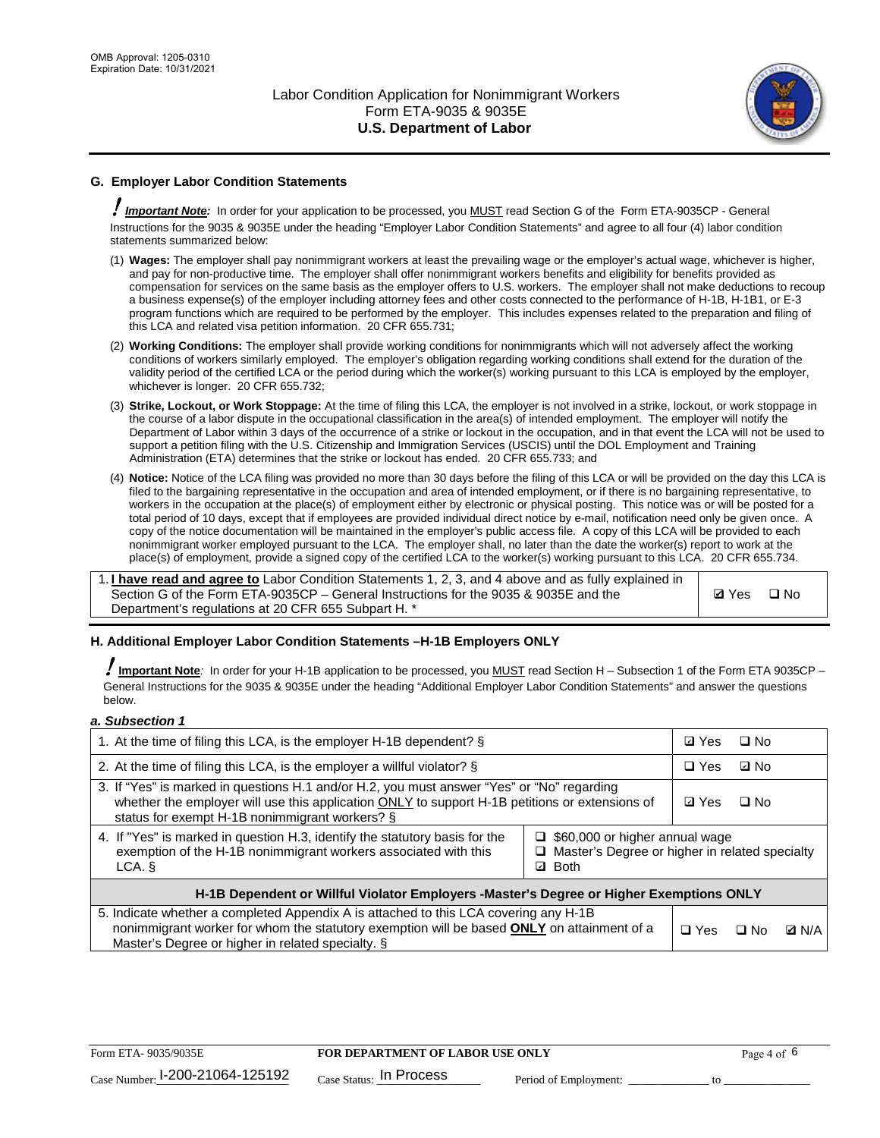

## **G. Employer Labor Condition Statements**

! *Important Note:* In order for your application to be processed, you MUST read Section G of the Form ETA-9035CP - General Instructions for the 9035 & 9035E under the heading "Employer Labor Condition Statements" and agree to all four (4) labor condition statements summarized below:

- (1) **Wages:** The employer shall pay nonimmigrant workers at least the prevailing wage or the employer's actual wage, whichever is higher, and pay for non-productive time. The employer shall offer nonimmigrant workers benefits and eligibility for benefits provided as compensation for services on the same basis as the employer offers to U.S. workers. The employer shall not make deductions to recoup a business expense(s) of the employer including attorney fees and other costs connected to the performance of H-1B, H-1B1, or E-3 program functions which are required to be performed by the employer. This includes expenses related to the preparation and filing of this LCA and related visa petition information. 20 CFR 655.731;
- (2) **Working Conditions:** The employer shall provide working conditions for nonimmigrants which will not adversely affect the working conditions of workers similarly employed. The employer's obligation regarding working conditions shall extend for the duration of the validity period of the certified LCA or the period during which the worker(s) working pursuant to this LCA is employed by the employer, whichever is longer. 20 CFR 655.732;
- (3) **Strike, Lockout, or Work Stoppage:** At the time of filing this LCA, the employer is not involved in a strike, lockout, or work stoppage in the course of a labor dispute in the occupational classification in the area(s) of intended employment. The employer will notify the Department of Labor within 3 days of the occurrence of a strike or lockout in the occupation, and in that event the LCA will not be used to support a petition filing with the U.S. Citizenship and Immigration Services (USCIS) until the DOL Employment and Training Administration (ETA) determines that the strike or lockout has ended. 20 CFR 655.733; and
- (4) **Notice:** Notice of the LCA filing was provided no more than 30 days before the filing of this LCA or will be provided on the day this LCA is filed to the bargaining representative in the occupation and area of intended employment, or if there is no bargaining representative, to workers in the occupation at the place(s) of employment either by electronic or physical posting. This notice was or will be posted for a total period of 10 days, except that if employees are provided individual direct notice by e-mail, notification need only be given once. A copy of the notice documentation will be maintained in the employer's public access file. A copy of this LCA will be provided to each nonimmigrant worker employed pursuant to the LCA. The employer shall, no later than the date the worker(s) report to work at the place(s) of employment, provide a signed copy of the certified LCA to the worker(s) working pursuant to this LCA. 20 CFR 655.734.

1. **I have read and agree to** Labor Condition Statements 1, 2, 3, and 4 above and as fully explained in Section G of the Form ETA-9035CP – General Instructions for the 9035 & 9035E and the Department's regulations at 20 CFR 655 Subpart H. \*

**Ø**Yes ロNo

### **H. Additional Employer Labor Condition Statements –H-1B Employers ONLY**

!**Important Note***:* In order for your H-1B application to be processed, you MUST read Section H – Subsection 1 of the Form ETA 9035CP – General Instructions for the 9035 & 9035E under the heading "Additional Employer Labor Condition Statements" and answer the questions below.

#### *a. Subsection 1*

| 1. At the time of filing this LCA, is the employer H-1B dependent? §                                                                                                                                                                           | ⊡ Yes                                                                                     | □ No      |              |  |
|------------------------------------------------------------------------------------------------------------------------------------------------------------------------------------------------------------------------------------------------|-------------------------------------------------------------------------------------------|-----------|--------------|--|
| 2. At the time of filing this LCA, is the employer a willful violator? $\S$                                                                                                                                                                    | $\Box$ Yes                                                                                | ⊡ No      |              |  |
| 3. If "Yes" is marked in questions H.1 and/or H.2, you must answer "Yes" or "No" regarding<br>whether the employer will use this application ONLY to support H-1B petitions or extensions of<br>status for exempt H-1B nonimmigrant workers? § | <b>☑</b> Yes                                                                              | $\Box$ No |              |  |
| 4. If "Yes" is marked in question H.3, identify the statutory basis for the<br>exemption of the H-1B nonimmigrant workers associated with this<br>LCA. §                                                                                       | $\Box$ \$60,000 or higher annual wage<br>□ Master's Degree or higher in related specialty |           |              |  |
| H-1B Dependent or Willful Violator Employers -Master's Degree or Higher Exemptions ONLY                                                                                                                                                        |                                                                                           |           |              |  |
| 5. Indicate whether a completed Appendix A is attached to this LCA covering any H-1B<br>nonimmigrant worker for whom the statutory exemption will be based <b>ONLY</b> on attainment of a<br>Master's Degree or higher in related specialty. § | $\Box$ Yes                                                                                | ⊟ No      | <b>D</b> N/A |  |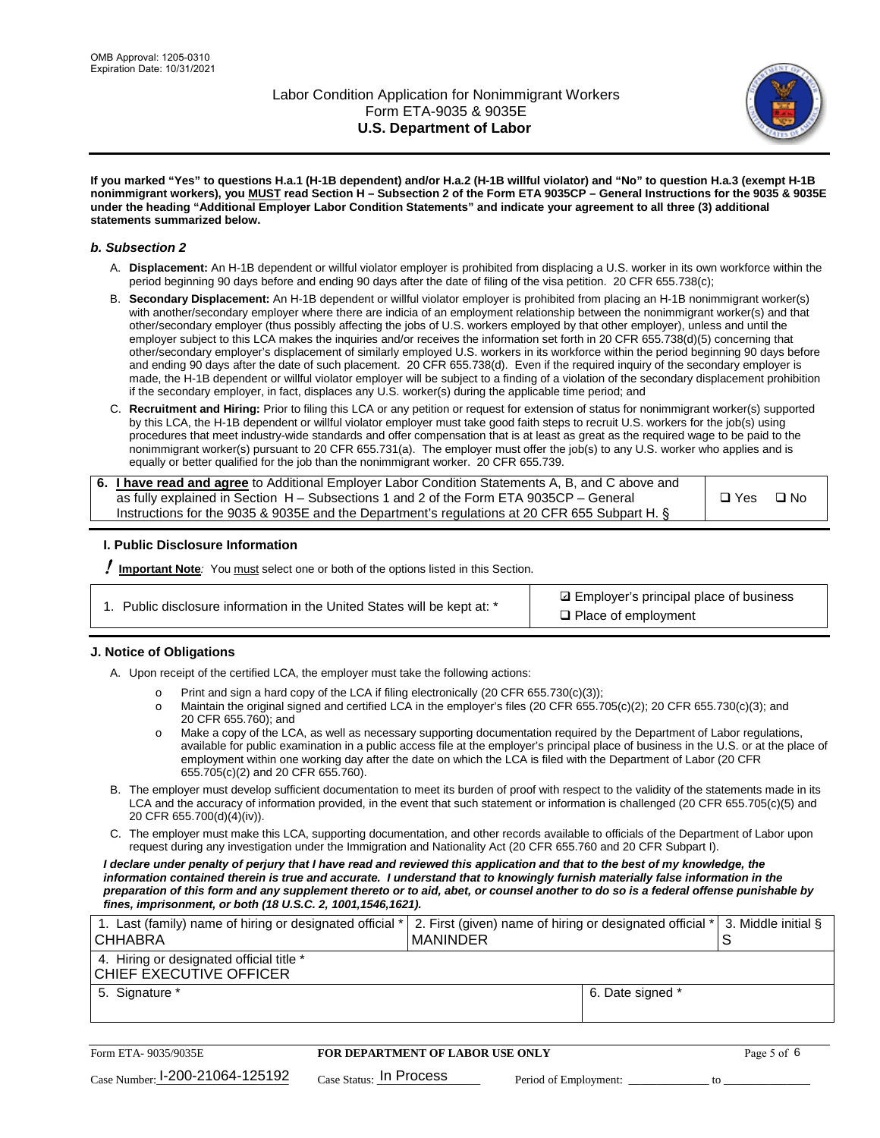

**If you marked "Yes" to questions H.a.1 (H-1B dependent) and/or H.a.2 (H-1B willful violator) and "No" to question H.a.3 (exempt H-1B nonimmigrant workers), you MUST read Section H – Subsection 2 of the Form ETA 9035CP – General Instructions for the 9035 & 9035E under the heading "Additional Employer Labor Condition Statements" and indicate your agreement to all three (3) additional statements summarized below.**

#### *b. Subsection 2*

- A. **Displacement:** An H-1B dependent or willful violator employer is prohibited from displacing a U.S. worker in its own workforce within the period beginning 90 days before and ending 90 days after the date of filing of the visa petition. 20 CFR 655.738(c);
- B. **Secondary Displacement:** An H-1B dependent or willful violator employer is prohibited from placing an H-1B nonimmigrant worker(s) with another/secondary employer where there are indicia of an employment relationship between the nonimmigrant worker(s) and that other/secondary employer (thus possibly affecting the jobs of U.S. workers employed by that other employer), unless and until the employer subject to this LCA makes the inquiries and/or receives the information set forth in 20 CFR 655.738(d)(5) concerning that other/secondary employer's displacement of similarly employed U.S. workers in its workforce within the period beginning 90 days before and ending 90 days after the date of such placement. 20 CFR 655.738(d). Even if the required inquiry of the secondary employer is made, the H-1B dependent or willful violator employer will be subject to a finding of a violation of the secondary displacement prohibition if the secondary employer, in fact, displaces any U.S. worker(s) during the applicable time period; and
- C. **Recruitment and Hiring:** Prior to filing this LCA or any petition or request for extension of status for nonimmigrant worker(s) supported by this LCA, the H-1B dependent or willful violator employer must take good faith steps to recruit U.S. workers for the job(s) using procedures that meet industry-wide standards and offer compensation that is at least as great as the required wage to be paid to the nonimmigrant worker(s) pursuant to 20 CFR 655.731(a). The employer must offer the job(s) to any U.S. worker who applies and is equally or better qualified for the job than the nonimmigrant worker. 20 CFR 655.739.

| 6. I have read and agree to Additional Employer Labor Condition Statements A, B, and C above and |       |           |
|--------------------------------------------------------------------------------------------------|-------|-----------|
| as fully explained in Section H – Subsections 1 and 2 of the Form ETA 9035CP – General           | □ Yes | $\Box$ No |
| Instructions for the 9035 & 9035E and the Department's regulations at 20 CFR 655 Subpart H. §    |       |           |

### **I. Public Disclosure Information**

! **Important Note***:* You must select one or both of the options listed in this Section.

| 1. Public disclosure information in the United States will be kept at: * |  |  |  |  |  |  |  |  |  |
|--------------------------------------------------------------------------|--|--|--|--|--|--|--|--|--|
|--------------------------------------------------------------------------|--|--|--|--|--|--|--|--|--|

**sqrt** Employer's principal place of business □ Place of employment

### **J. Notice of Obligations**

A. Upon receipt of the certified LCA, the employer must take the following actions:

- o Print and sign a hard copy of the LCA if filing electronically (20 CFR 655.730(c)(3));<br>
Maintain the original signed and certified LCA in the employer's files (20 CFR 655.7
- Maintain the original signed and certified LCA in the employer's files (20 CFR 655.705(c)(2); 20 CFR 655.730(c)(3); and 20 CFR 655.760); and
- o Make a copy of the LCA, as well as necessary supporting documentation required by the Department of Labor regulations, available for public examination in a public access file at the employer's principal place of business in the U.S. or at the place of employment within one working day after the date on which the LCA is filed with the Department of Labor (20 CFR 655.705(c)(2) and 20 CFR 655.760).
- B. The employer must develop sufficient documentation to meet its burden of proof with respect to the validity of the statements made in its LCA and the accuracy of information provided, in the event that such statement or information is challenged (20 CFR 655.705(c)(5) and 20 CFR 655.700(d)(4)(iv)).
- C. The employer must make this LCA, supporting documentation, and other records available to officials of the Department of Labor upon request during any investigation under the Immigration and Nationality Act (20 CFR 655.760 and 20 CFR Subpart I).

*I declare under penalty of perjury that I have read and reviewed this application and that to the best of my knowledge, the*  information contained therein is true and accurate. I understand that to knowingly furnish materially false information in the *preparation of this form and any supplement thereto or to aid, abet, or counsel another to do so is a federal offense punishable by fines, imprisonment, or both (18 U.S.C. 2, 1001,1546,1621).*

| 1. Last (family) name of hiring or designated official *<br><b>CHHABRA</b> |                         | <b>MANINDER</b>                         |                       | 2. First (given) name of hiring or designated official * | S  | 3. Middle initial § |
|----------------------------------------------------------------------------|-------------------------|-----------------------------------------|-----------------------|----------------------------------------------------------|----|---------------------|
| 4. Hiring or designated official title *<br>CHIEF EXECUTIVE OFFICER        |                         |                                         |                       |                                                          |    |                     |
| 5. Signature *                                                             |                         |                                         |                       | 6. Date signed *                                         |    |                     |
|                                                                            |                         |                                         |                       |                                                          |    |                     |
| Form ETA-9035/9035E                                                        |                         | <b>FOR DEPARTMENT OF LABOR USE ONLY</b> |                       |                                                          |    | Page 5 of 6         |
| $_{\text{Case Number:}}$ 1-200-21064-125192                                | Case Status: In Process |                                         | Period of Employment: |                                                          | tΩ |                     |